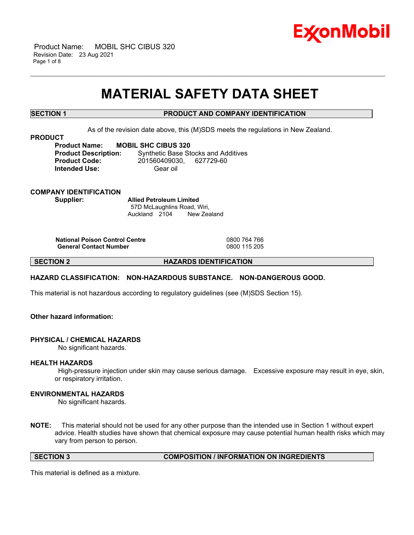

 Product Name: MOBIL SHC CIBUS 320 Revision Date: 23 Aug 2021 Page 1 of 8

# **MATERIAL SAFETY DATA SHEET**

\_\_\_\_\_\_\_\_\_\_\_\_\_\_\_\_\_\_\_\_\_\_\_\_\_\_\_\_\_\_\_\_\_\_\_\_\_\_\_\_\_\_\_\_\_\_\_\_\_\_\_\_\_\_\_\_\_\_\_\_\_\_\_\_\_\_\_\_\_\_\_\_\_\_\_\_\_\_\_\_\_\_\_\_\_\_\_\_\_\_\_\_\_\_\_\_\_\_\_\_\_\_\_\_\_\_\_\_\_\_\_\_\_\_\_\_\_\_

# **SECTION 1 PRODUCT AND COMPANY IDENTIFICATION**

As of the revision date above, this (M)SDS meets the regulations in New Zealand.

**PRODUCT**

**Product Name: MOBIL SHC CIBUS 320 Product Description:** Synthetic Base Stocks and Additives **Product Code:** 201560409030, 627729-60 **Intended Use:** Gear oil

**COMPANY IDENTIFICATION Supplier: Allied Petroleum Limited**

57D McLaughlins Road, Wiri, Auckland 2104 New Zealand

**National Poison Control Centre** 0800 764 766 **General Contact Number** 

**SECTION 2 HAZARDS IDENTIFICATION**

# **HAZARD CLASSIFICATION: NON-HAZARDOUS SUBSTANCE. NON-DANGEROUS GOOD.**

This material is not hazardous according to regulatory guidelines (see (M)SDS Section 15).

# **Other hazard information:**

#### **PHYSICAL / CHEMICAL HAZARDS**

No significant hazards.

#### **HEALTH HAZARDS**

High-pressure injection under skin may cause serious damage. Excessive exposure may result in eye, skin, or respiratory irritation.

### **ENVIRONMENTAL HAZARDS**

No significant hazards.

**NOTE:** This material should not be used for any other purpose than the intended use in Section 1 without expert advice. Health studies have shown that chemical exposure may cause potential human health risks which may vary from person to person.

**SECTION 3 COMPOSITION / INFORMATION ON INGREDIENTS**

This material is defined as a mixture.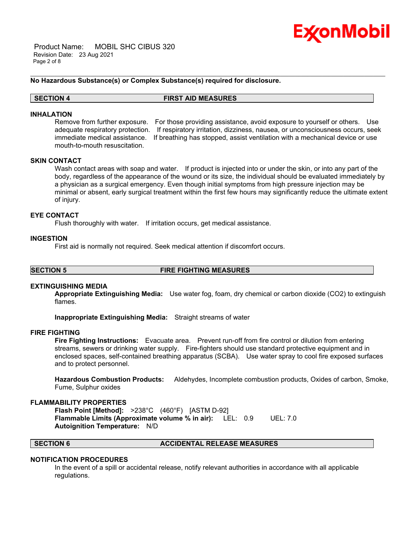

 Product Name: MOBIL SHC CIBUS 320 Revision Date: 23 Aug 2021 Page 2 of 8

## **No Hazardous Substance(s) or Complex Substance(s) required for disclosure.**

#### **SECTION 4 FIRST AID MEASURES**

#### **INHALATION**

Remove from further exposure. For those providing assistance, avoid exposure to yourself or others. Use adequate respiratory protection. If respiratory irritation, dizziness, nausea, or unconsciousness occurs, seek immediate medical assistance. If breathing has stopped, assist ventilation with a mechanical device or use mouth-to-mouth resuscitation.

\_\_\_\_\_\_\_\_\_\_\_\_\_\_\_\_\_\_\_\_\_\_\_\_\_\_\_\_\_\_\_\_\_\_\_\_\_\_\_\_\_\_\_\_\_\_\_\_\_\_\_\_\_\_\_\_\_\_\_\_\_\_\_\_\_\_\_\_\_\_\_\_\_\_\_\_\_\_\_\_\_\_\_\_\_\_\_\_\_\_\_\_\_\_\_\_\_\_\_\_\_\_\_\_\_\_\_\_\_\_\_\_\_\_\_\_\_\_

# **SKIN CONTACT**

Wash contact areas with soap and water. If product is injected into or under the skin, or into any part of the body, regardless of the appearance of the wound or its size, the individual should be evaluated immediately by a physician as a surgical emergency. Even though initial symptoms from high pressure injection may be minimal or absent, early surgical treatment within the first few hours may significantly reduce the ultimate extent of injury.

### **EYE CONTACT**

Flush thoroughly with water. If irritation occurs, get medical assistance.

#### **INGESTION**

First aid is normally not required. Seek medical attention if discomfort occurs.

#### **SECTION 5 FIRE FIGHTING MEASURES**

# **EXTINGUISHING MEDIA**

**Appropriate Extinguishing Media:** Use water fog, foam, dry chemical or carbon dioxide (CO2) to extinguish flames.

**Inappropriate Extinguishing Media:** Straight streams of water

#### **FIRE FIGHTING**

**Fire Fighting Instructions:** Evacuate area. Prevent run-off from fire control or dilution from entering streams, sewers or drinking water supply. Fire-fighters should use standard protective equipment and in enclosed spaces, self-contained breathing apparatus (SCBA). Use water spray to cool fire exposed surfaces and to protect personnel.

**Hazardous Combustion Products:** Aldehydes, Incomplete combustion products, Oxides of carbon, Smoke, Fume, Sulphur oxides

### **FLAMMABILITY PROPERTIES**

**Flash Point [Method]:** >238°C (460°F) [ASTM D-92] **Flammable Limits (Approximate volume % in air):** LEL: 0.9 UEL: 7.0 **Autoignition Temperature:** N/D

# **SECTION 6 ACCIDENTAL RELEASE MEASURES**

#### **NOTIFICATION PROCEDURES**

In the event of a spill or accidental release, notify relevant authorities in accordance with all applicable regulations.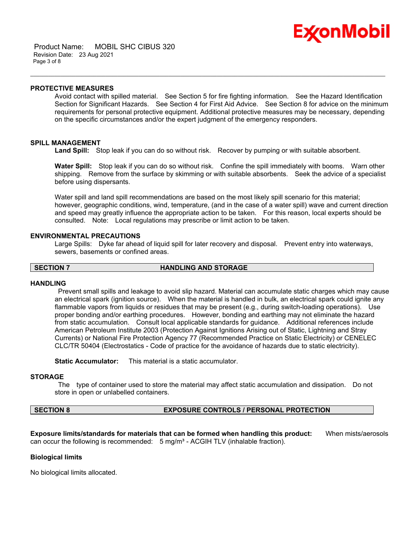Avoid contact with spilled material. See Section 5 for fire fighting information. See the Hazard Identification Section for Significant Hazards. See Section 4 for First Aid Advice. See Section 8 for advice on the minimum requirements for personal protective equipment. Additional protective measures may be necessary, depending on the specific circumstances and/or the expert judgment of the emergency responders.

Ex⁄onMobil

# **SPILL MANAGEMENT**

**Land Spill:** Stop leak if you can do so without risk. Recover by pumping or with suitable absorbent.

\_\_\_\_\_\_\_\_\_\_\_\_\_\_\_\_\_\_\_\_\_\_\_\_\_\_\_\_\_\_\_\_\_\_\_\_\_\_\_\_\_\_\_\_\_\_\_\_\_\_\_\_\_\_\_\_\_\_\_\_\_\_\_\_\_\_\_\_\_\_\_\_\_\_\_\_\_\_\_\_\_\_\_\_\_\_\_\_\_\_\_\_\_\_\_\_\_\_\_\_\_\_\_\_\_\_\_\_\_\_\_\_\_\_\_\_\_\_

**Water Spill:** Stop leak if you can do so without risk. Confine the spill immediately with booms. Warn other shipping. Remove from the surface by skimming or with suitable absorbents. Seek the advice of a specialist before using dispersants.

Water spill and land spill recommendations are based on the most likely spill scenario for this material; however, geographic conditions, wind, temperature, (and in the case of a water spill) wave and current direction and speed may greatly influence the appropriate action to be taken. For this reason, local experts should be consulted. Note: Local regulations may prescribe or limit action to be taken.

### **ENVIRONMENTAL PRECAUTIONS**

Large Spills: Dyke far ahead of liquid spill for later recovery and disposal. Prevent entry into waterways, sewers, basements or confined areas.

# **SECTION 7 HANDLING AND STORAGE**

# **HANDLING**

Prevent small spills and leakage to avoid slip hazard. Material can accumulate static charges which may cause an electrical spark (ignition source). When the material is handled in bulk, an electrical spark could ignite any flammable vapors from liquids or residues that may be present (e.g., during switch-loading operations). Use proper bonding and/or earthing procedures. However, bonding and earthing may not eliminate the hazard from static accumulation. Consult local applicable standards for guidance. Additional references include American Petroleum Institute 2003 (Protection Against Ignitions Arising out of Static, Lightning and Stray Currents) or National Fire Protection Agency 77 (Recommended Practice on Static Electricity) or CENELEC CLC/TR 50404 (Electrostatics - Code of practice for the avoidance of hazards due to static electricity).

**Static Accumulator:** This material is a static accumulator.

#### **STORAGE**

The type of container used to store the material may affect static accumulation and dissipation. Do not store in open or unlabelled containers.

# **SECTION 8 EXPOSURE CONTROLS / PERSONAL PROTECTION**

**Exposure limits/standards for materials that can be formed when handling this product:** When mists/aerosols can occur the following is recommended:  $5 \text{ mg/m}^3$  - ACGIH TLV (inhalable fraction).

### **Biological limits**

No biological limits allocated.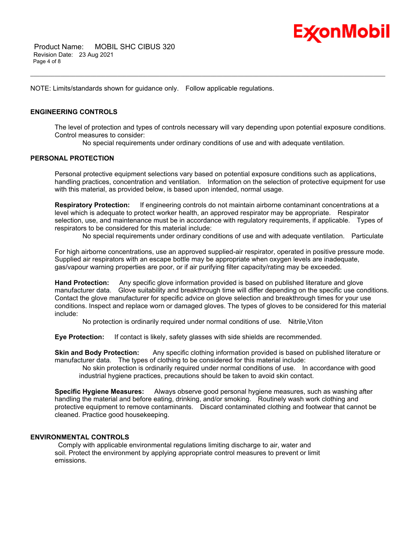

 Product Name: MOBIL SHC CIBUS 320 Revision Date: 23 Aug 2021 Page 4 of 8

NOTE: Limits/standards shown for guidance only. Follow applicable regulations.

# **ENGINEERING CONTROLS**

The level of protection and types of controls necessary will vary depending upon potential exposure conditions. Control measures to consider:

No special requirements under ordinary conditions of use and with adequate ventilation.

\_\_\_\_\_\_\_\_\_\_\_\_\_\_\_\_\_\_\_\_\_\_\_\_\_\_\_\_\_\_\_\_\_\_\_\_\_\_\_\_\_\_\_\_\_\_\_\_\_\_\_\_\_\_\_\_\_\_\_\_\_\_\_\_\_\_\_\_\_\_\_\_\_\_\_\_\_\_\_\_\_\_\_\_\_\_\_\_\_\_\_\_\_\_\_\_\_\_\_\_\_\_\_\_\_\_\_\_\_\_\_\_\_\_\_\_\_\_

# **PERSONAL PROTECTION**

Personal protective equipment selections vary based on potential exposure conditions such as applications, handling practices, concentration and ventilation. Information on the selection of protective equipment for use with this material, as provided below, is based upon intended, normal usage.

**Respiratory Protection:** If engineering controls do not maintain airborne contaminant concentrations at a level which is adequate to protect worker health, an approved respirator may be appropriate. Respirator selection, use, and maintenance must be in accordance with regulatory requirements, if applicable. Types of respirators to be considered for this material include:

No special requirements under ordinary conditions of use and with adequate ventilation. Particulate

For high airborne concentrations, use an approved supplied-air respirator, operated in positive pressure mode. Supplied air respirators with an escape bottle may be appropriate when oxygen levels are inadequate, gas/vapour warning properties are poor, or if air purifying filter capacity/rating may be exceeded.

**Hand Protection:** Any specific glove information provided is based on published literature and glove manufacturer data. Glove suitability and breakthrough time will differ depending on the specific use conditions. Contact the glove manufacturer for specific advice on glove selection and breakthrough times for your use conditions. Inspect and replace worn or damaged gloves. The types of gloves to be considered for this material include:

No protection is ordinarily required under normal conditions of use. Nitrile,Viton

**Eye Protection:** If contact is likely, safety glasses with side shields are recommended.

**Skin and Body Protection:** Any specific clothing information provided is based on published literature or manufacturer data. The types of clothing to be considered for this material include:

No skin protection is ordinarily required under normal conditions of use. In accordance with good industrial hygiene practices, precautions should be taken to avoid skin contact.

**Specific Hygiene Measures:** Always observe good personal hygiene measures, such as washing after handling the material and before eating, drinking, and/or smoking. Routinely wash work clothing and protective equipment to remove contaminants. Discard contaminated clothing and footwear that cannot be cleaned. Practice good housekeeping.

# **ENVIRONMENTAL CONTROLS**

Comply with applicable environmental regulations limiting discharge to air, water and soil. Protect the environment by applying appropriate control measures to prevent or limit emissions.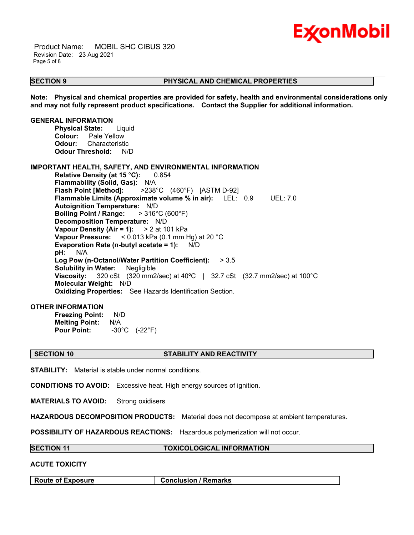

 Product Name: MOBIL SHC CIBUS 320 Revision Date: 23 Aug 2021 Page 5 of 8

# **SECTION 9 PHYSICAL AND CHEMICAL PROPERTIES**

**Note: Physical and chemical properties are provided for safety, health and environmental considerations only and may not fully represent product specifications. Contact the Supplier for additional information.**

\_\_\_\_\_\_\_\_\_\_\_\_\_\_\_\_\_\_\_\_\_\_\_\_\_\_\_\_\_\_\_\_\_\_\_\_\_\_\_\_\_\_\_\_\_\_\_\_\_\_\_\_\_\_\_\_\_\_\_\_\_\_\_\_\_\_\_\_\_\_\_\_\_\_\_\_\_\_\_\_\_\_\_\_\_\_\_\_\_\_\_\_\_\_\_\_\_\_\_\_\_\_\_\_\_\_\_\_\_\_\_\_\_\_\_\_\_\_

**GENERAL INFORMATION**

**Physical State:** Liquid **Colour:** Pale Yellow **Odour:** Characteristic **Odour Threshold:** N/D

# **IMPORTANT HEALTH, SAFETY, AND ENVIRONMENTAL INFORMATION**

**Relative Density (at 15 °C):** 0.854 **Flammability (Solid, Gas):** N/A **Flash Point [Method]:** >238°C (460°F) [ASTM D-92] **Flammable Limits (Approximate volume % in air):** LEL: 0.9 UEL: 7.0 **Autoignition Temperature:** N/D **Boiling Point / Range:** > 316°C (600°F) **Decomposition Temperature:** N/D **Vapour Density (Air = 1):** > 2 at 101 kPa **Vapour Pressure:** < 0.013 kPa (0.1 mm Hg) at 20 °C **Evaporation Rate (n-butyl acetate = 1):** N/D **pH:** N/A **Log Pow (n-Octanol/Water Partition Coefficient):** > 3.5 **Solubility in Water:** Negligible **Viscosity:** 320 cSt (320 mm2/sec) at 40ºC | 32.7 cSt (32.7 mm2/sec) at 100°C **Molecular Weight:** N/D **Oxidizing Properties:** See Hazards Identification Section.

# **OTHER INFORMATION**

**Freezing Point:** N/D **Melting Point:** N/A **Pour Point:** -30°C (-22°F)

#### **SECTION 10 STABILITY AND REACTIVITY**

**STABILITY:** Material is stable under normal conditions.

**CONDITIONS TO AVOID:** Excessive heat. High energy sources of ignition.

**MATERIALS TO AVOID:** Strong oxidisers

**HAZARDOUS DECOMPOSITION PRODUCTS:** Material does not decompose at ambient temperatures.

**POSSIBILITY OF HAZARDOUS REACTIONS:** Hazardous polymerization will not occur.

#### **SECTION 11 TOXICOLOGICAL INFORMATION**

# **ACUTE TOXICITY**

**Route of Exposure Conclusion / Remarks**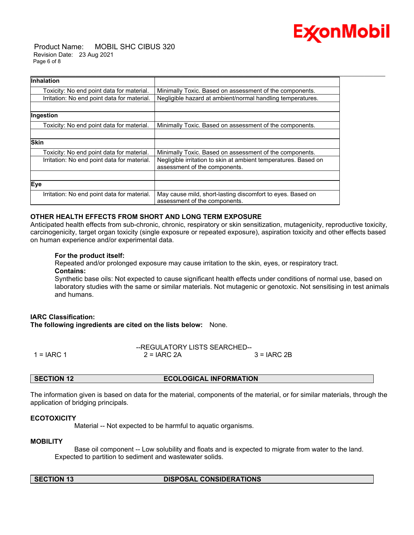

 Product Name: MOBIL SHC CIBUS 320 Revision Date: 23 Aug 2021 Page 6 of 8

| <b>Inhalation</b>                           |                                                                                                  |
|---------------------------------------------|--------------------------------------------------------------------------------------------------|
| Toxicity: No end point data for material.   | Minimally Toxic. Based on assessment of the components.                                          |
| Irritation: No end point data for material. | Negligible hazard at ambient/normal handling temperatures.                                       |
| Ingestion                                   |                                                                                                  |
| Toxicity: No end point data for material.   | Minimally Toxic. Based on assessment of the components.                                          |
| <b>Skin</b>                                 |                                                                                                  |
| Toxicity: No end point data for material.   | Minimally Toxic. Based on assessment of the components.                                          |
| Irritation: No end point data for material. | Negligible irritation to skin at ambient temperatures. Based on<br>assessment of the components. |
|                                             |                                                                                                  |
| Eye                                         |                                                                                                  |
| Irritation: No end point data for material. | May cause mild, short-lasting discomfort to eyes. Based on<br>assessment of the components.      |

# **OTHER HEALTH EFFECTS FROM SHORT AND LONG TERM EXPOSURE**

Anticipated health effects from sub-chronic, chronic, respiratory or skin sensitization, mutagenicity, reproductive toxicity, carcinogenicity, target organ toxicity (single exposure or repeated exposure), aspiration toxicity and other effects based on human experience and/or experimental data.

### **For the product itself:**

Repeated and/or prolonged exposure may cause irritation to the skin, eyes, or respiratory tract. **Contains:**

Synthetic base oils: Not expected to cause significant health effects under conditions of normal use, based on laboratory studies with the same or similar materials. Not mutagenic or genotoxic. Not sensitising in test animals and humans.

# **IARC Classification: The following ingredients are cited on the lists below:** None.

|              | --REGULATORY LISTS SEARCHED-- |              |
|--------------|-------------------------------|--------------|
| $1 = IARC 1$ | $2 = IARC 2A$                 | $3 = IARC2B$ |

# **SECTION 12 ECOLOGICAL INFORMATION**

The information given is based on data for the material, components of the material, or for similar materials, through the application of bridging principals.

# **ECOTOXICITY**

Material -- Not expected to be harmful to aquatic organisms.

### **MOBILITY**

 Base oil component -- Low solubility and floats and is expected to migrate from water to the land. Expected to partition to sediment and wastewater solids.

# **SECTION 13 DISPOSAL CONSIDERATIONS**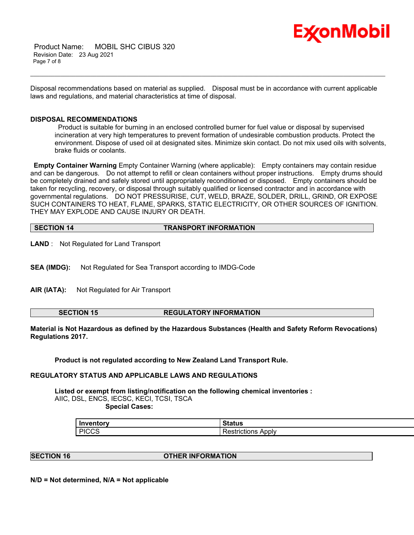

 Product Name: MOBIL SHC CIBUS 320 Revision Date: 23 Aug 2021 Page 7 of 8

Disposal recommendations based on material as supplied. Disposal must be in accordance with current applicable laws and regulations, and material characteristics at time of disposal.

\_\_\_\_\_\_\_\_\_\_\_\_\_\_\_\_\_\_\_\_\_\_\_\_\_\_\_\_\_\_\_\_\_\_\_\_\_\_\_\_\_\_\_\_\_\_\_\_\_\_\_\_\_\_\_\_\_\_\_\_\_\_\_\_\_\_\_\_\_\_\_\_\_\_\_\_\_\_\_\_\_\_\_\_\_\_\_\_\_\_\_\_\_\_\_\_\_\_\_\_\_\_\_\_\_\_\_\_\_\_\_\_\_\_\_\_\_\_

# **DISPOSAL RECOMMENDATIONS**

Product is suitable for burning in an enclosed controlled burner for fuel value or disposal by supervised incineration at very high temperatures to prevent formation of undesirable combustion products. Protect the environment. Dispose of used oil at designated sites. Minimize skin contact. Do not mix used oils with solvents, brake fluids or coolants.

**Empty Container Warning** Empty Container Warning (where applicable): Empty containers may contain residue and can be dangerous. Do not attempt to refill or clean containers without proper instructions. Empty drums should be completely drained and safely stored until appropriately reconditioned or disposed. Empty containers should be taken for recycling, recovery, or disposal through suitably qualified or licensed contractor and in accordance with governmental regulations. DO NOT PRESSURISE, CUT, WELD, BRAZE, SOLDER, DRILL, GRIND, OR EXPOSE SUCH CONTAINERS TO HEAT, FLAME, SPARKS, STATIC ELECTRICITY, OR OTHER SOURCES OF IGNITION. THEY MAY EXPLODE AND CAUSE INJURY OR DEATH.

| SECTION 14 | <b>TRANSPORT INFORMATION</b> |
|------------|------------------------------|
|            |                              |

**LAND** : Not Regulated for Land Transport

**SEA (IMDG):** Not Regulated for Sea Transport according to IMDG-Code

**AIR (IATA):** Not Regulated for Air Transport

**SECTION 15 REGULATORY INFORMATION**

**Material is Not Hazardous as defined by the Hazardous Substances (Health and Safety Reform Revocations) Regulations 2017.**

**Product is not regulated according to New Zealand Land Transport Rule.**

# **REGULATORY STATUS AND APPLICABLE LAWS AND REGULATIONS**

**Listed or exempt from listing/notification on the following chemical inventories :**  AIIC, DSL, ENCS, IECSC, KECI, TCSI, TSCA  **Special Cases:**

| Inventory           | $^{\circ}$ tatue<br>Jialus |
|---------------------|----------------------------|
| <b>PICCS</b><br>טשט | Apply<br>estrictions<br>∸  |

**SECTION 16 OTHER INFORMATION**

**N/D = Not determined, N/A = Not applicable**